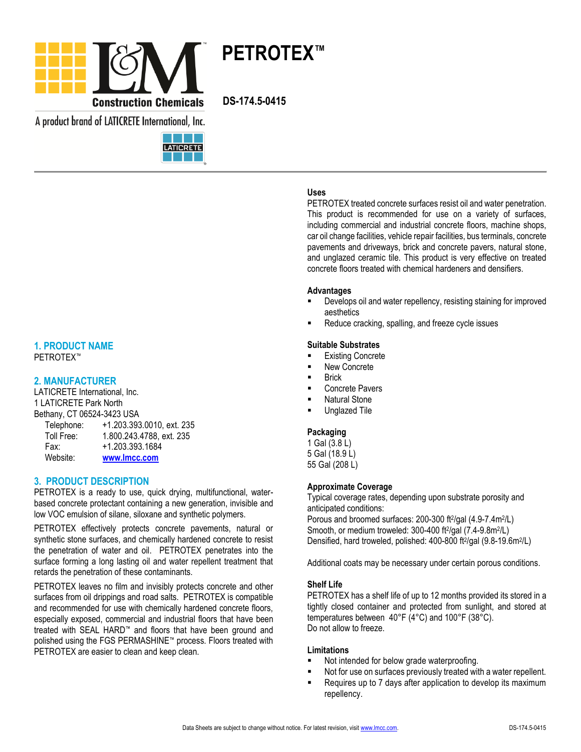

A product brand of LATICRETE International, Inc.



# **1. PRODUCT NAME**

PETROTEX™

# **2. MANUFACTURER**

LATICRETE International, Inc. 1 LATICRETE Park North Bethany, CT 06524-3423 USA<br>Telephone: +1 203 393 Telephone: +1.203.393.0010, ext. 235

| <b>I GIGNINIIG.</b> | TI. ZUJ. JJJ. UU I U, GALI ZJ |
|---------------------|-------------------------------|
| Toll Free:          | 1.800.243.4788, ext. 235      |
| Fax:                | +1.203.393.1684               |
| Website:            | www.lmcc.com                  |

### **3. PRODUCT DESCRIPTION**

PETROTEX is a ready to use, quick drying, multifunctional, waterbased concrete protectant containing a new generation, invisible and low VOC emulsion of silane, siloxane and synthetic polymers.

PETROTEX effectively protects concrete pavements, natural or synthetic stone surfaces, and chemically hardened concrete to resist the penetration of water and oil. PETROTEX penetrates into the surface forming a long lasting oil and water repellent treatment that retards the penetration of these contaminants.

PETROTEX leaves no film and invisibly protects concrete and other surfaces from oil drippings and road salts. PETROTEX is compatible and recommended for use with chemically hardened concrete floors, especially exposed, commercial and industrial floors that have been treated with SEAL HARD™ and floors that have been ground and polished using the FGS PERMASHINE™ process. Floors treated with PETROTEX are easier to clean and keep clean.

# **Uses**

PETROTEX treated concrete surfaces resist oil and water penetration. This product is recommended for use on a variety of surfaces, including commercial and industrial concrete floors, machine shops, car oil change facilities, vehicle repair facilities, bus terminals, concrete pavements and driveways, brick and concrete pavers, natural stone, and unglazed ceramic tile. This product is very effective on treated concrete floors treated with chemical hardeners and densifiers.

#### **Advantages**

- Develops oil and water repellency, resisting staining for improved aesthetics
- Reduce cracking, spalling, and freeze cycle issues

#### **Suitable Substrates**

- Existing Concrete
- New Concrete
- Brick
- Concrete Pavers
- Natural Stone
- Unglazed Tile

#### **Packaging**

1 Gal (3.8 L) 5 Gal (18.9 L) 55 Gal (208 L)

### **Approximate Coverage**

Typical coverage rates, depending upon substrate porosity and anticipated conditions:

Porous and broomed surfaces: 200-300 ft<sup>2</sup>/gal (4.9-7.4m<sup>2</sup>/L) Smooth, or medium troweled: 300-400 ft<sup>2</sup>/gal (7.4-9.8m<sup>2</sup>/L) Densified, hard troweled, polished: 400-800 ft<sup>2</sup>/gal (9.8-19.6m<sup>2</sup>/L)

Additional coats may be necessary under certain porous conditions.

#### **Shelf Life**

PETROTEX has a shelf life of up to 12 months provided its stored in a tightly closed container and protected from sunlight, and stored at temperatures between 40°F (4°C) and 100°F (38°C). Do not allow to freeze.

#### **Limitations**

- Not intended for below grade waterproofing.
- Not for use on surfaces previously treated with a water repellent.
- Requires up to 7 days after application to develop its maximum repellency.